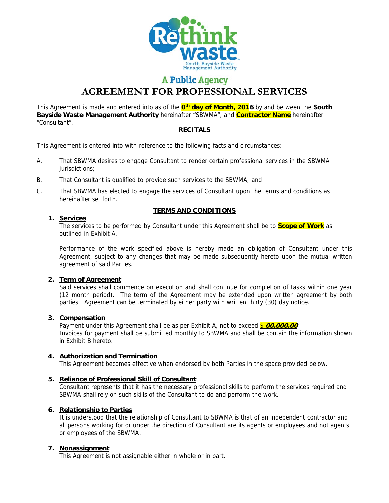

# **A Public Agency**

**AGREEMENT FOR PROFESSIONAL SERVICES** 

This Agreement is made and entered into as of the **0th day of Month, 2016** by and between the **South Bayside Waste Management Authority** hereinafter "SBWMA", and **Contractor Name** hereinafter "Consultant".

## **RECITALS**

This Agreement is entered into with reference to the following facts and circumstances:

- A. That SBWMA desires to engage Consultant to render certain professional services in the SBWMA jurisdictions;
- B. That Consultant is qualified to provide such services to the SBWMA; and
- C. That SBWMA has elected to engage the services of Consultant upon the terms and conditions as hereinafter set forth.

#### **TERMS AND CONDITIONS**

## **1. Services**

The services to be performed by Consultant under this Agreement shall be to **Scope of Work** as outlined in Exhibit A.

Performance of the work specified above is hereby made an obligation of Consultant under this Agreement, subject to any changes that may be made subsequently hereto upon the mutual written agreement of said Parties.

# **2. Term of Agreement**

Said services shall commence on execution and shall continue for completion of tasks within one year (12 month period). The term of the Agreement may be extended upon written agreement by both parties. Agreement can be terminated by either party with written thirty (30) day notice.

# **3. Compensation**

Payment under this Agreement shall be as per Exhibit A, not to exceed \$ 00,000.00 Invoices for payment shall be submitted monthly to SBWMA and shall be contain the information shown in Exhibit B hereto.

# **4. Authorization and Termination**

This Agreement becomes effective when endorsed by both Parties in the space provided below.

#### **5. Reliance of Professional Skill of Consultant**

Consultant represents that it has the necessary professional skills to perform the services required and SBWMA shall rely on such skills of the Consultant to do and perform the work.

#### **6. Relationship to Parties**

It is understood that the relationship of Consultant to SBWMA is that of an independent contractor and all persons working for or under the direction of Consultant are its agents or employees and not agents or employees of the SBWMA.

#### **7. Nonassignment**

This Agreement is not assignable either in whole or in part.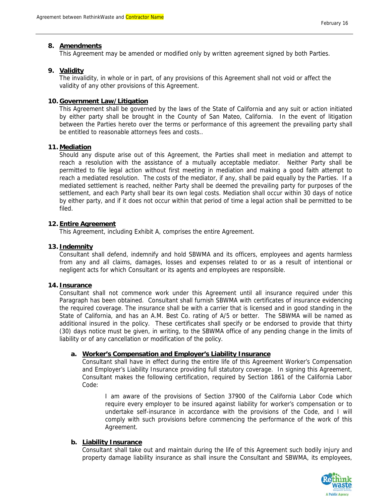#### **8. Amendments**

This Agreement may be amended or modified only by written agreement signed by both Parties.

#### **9. Validity**

The invalidity, in whole or in part, of any provisions of this Agreement shall not void or affect the validity of any other provisions of this Agreement.

#### **10. Government Law/Litigation**

This Agreement shall be governed by the laws of the State of California and any suit or action initiated by either party shall be brought in the County of San Mateo, California. In the event of litigation between the Parties hereto over the terms or performance of this agreement the prevailing party shall be entitled to reasonable attorneys fees and costs..

#### **11. Mediation**

Should any dispute arise out of this Agreement, the Parties shall meet in mediation and attempt to reach a resolution with the assistance of a mutually acceptable mediator. Neither Party shall be permitted to file legal action without first meeting in mediation and making a good faith attempt to reach a mediated resolution. The costs of the mediator, if any, shall be paid equally by the Parties. If a mediated settlement is reached, neither Party shall be deemed the prevailing party for purposes of the settlement, and each Party shall bear its own legal costs. Mediation shall occur within 30 days of notice by either party, and if it does not occur within that period of time a legal action shall be permitted to be filed.

#### **12. Entire Agreement**

This Agreement, including Exhibit A, comprises the entire Agreement.

#### **13. Indemnity**

Consultant shall defend, indemnify and hold SBWMA and its officers, employees and agents harmless from any and all claims, damages, losses and expenses related to or as a result of intentional or negligent acts for which Consultant or its agents and employees are responsible.

#### **14. Insurance**

Consultant shall not commence work under this Agreement until all insurance required under this Paragraph has been obtained. Consultant shall furnish SBWMA with certificates of insurance evidencing the required coverage. The insurance shall be with a carrier that is licensed and in good standing in the State of California, and has an A.M. Best Co. rating of A/5 or better. The SBWMA will be named as additional insured in the policy. These certificates shall specify or be endorsed to provide that thirty (30) days notice must be given, in writing, to the SBWMA office of any pending change in the limits of liability or of any cancellation or modification of the policy.

#### **a. Worker's Compensation and Employer's Liability Insurance**

Consultant shall have in effect during the entire life of this Agreement Worker's Compensation and Employer's Liability Insurance providing full statutory coverage. In signing this Agreement, Consultant makes the following certification, required by Section 1861 of the California Labor Code:

I am aware of the provisions of Section 37900 of the California Labor Code which require every employer to be insured against liability for worker's compensation or to undertake self-insurance in accordance with the provisions of the Code, and I will comply with such provisions before commencing the performance of the work of this Agreement.

#### **b. Liability Insurance**

Consultant shall take out and maintain during the life of this Agreement such bodily injury and property damage liability insurance as shall insure the Consultant and SBWMA, its employees,

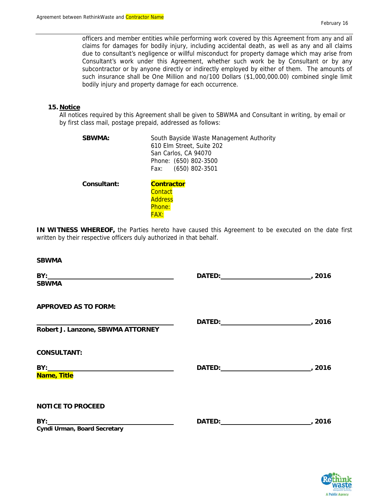officers and member entities while performing work covered by this Agreement from any and all claims for damages for bodily injury, including accidental death, as well as any and all claims due to consultant's negligence or willful misconduct for property damage which may arise from Consultant's work under this Agreement, whether such work be by Consultant or by any subcontractor or by anyone directly or indirectly employed by either of them. The amounts of such insurance shall be One Million and no/100 Dollars (\$1,000,000.00) combined single limit bodily injury and property damage for each occurrence.

#### **15. Notice**

All notices required by this Agreement shall be given to SBWMA and Consultant in writing, by email or by first class mail, postage prepaid, addressed as follows:

| <b>SBWMA:</b> | South Bayside Waste Management Authority<br>610 Elm Street, Suite 202<br>San Carlos, CA 94070<br>Phone: (650) 802-3500<br>$(650)$ 802-3501<br>Fax: |  |
|---------------|----------------------------------------------------------------------------------------------------------------------------------------------------|--|
| Consultant:   | <b>Contractor</b>                                                                                                                                  |  |
|               | Contact                                                                                                                                            |  |
|               | <b>Address</b>                                                                                                                                     |  |
|               | Phone:                                                                                                                                             |  |

FAX:

**IN WITNESS WHEREOF,** the Parties hereto have caused this Agreement to be executed on the date first written by their respective officers duly authorized in that behalf.

| <b>SBWMA</b>                                                                                                                   |  |
|--------------------------------------------------------------------------------------------------------------------------------|--|
| <b>SBWMA</b>                                                                                                                   |  |
| <b>APPROVED AS TO FORM:</b><br><u> 1989 - Johann Barn, amerikansk politiker (d. 1989)</u><br>Robert J. Lanzone, SBWMA ATTORNEY |  |
| <b>CONSULTANT:</b><br>Name, Title                                                                                              |  |
| <b>NOTICE TO PROCEED</b><br>Cyndi Urman, Board Secretary                                                                       |  |